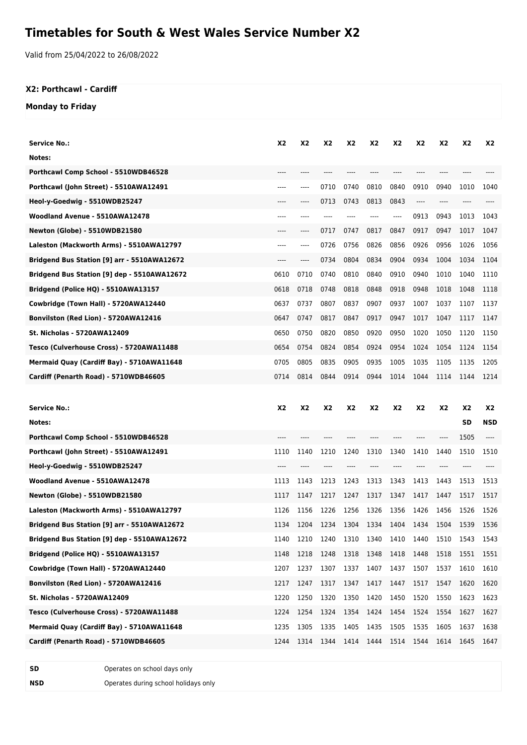# **Timetables for South & West Wales Service Number X2**

Valid from 25/04/2022 to 26/08/2022

#### **X2: Porthcawl - Cardiff**

#### **Monday to Friday**

| <b>Service No.:</b>                         | X2        | X2        | X <sub>2</sub> | X2        | X2        | X2             | X2        | X2        | X <sub>2</sub> | X2         |
|---------------------------------------------|-----------|-----------|----------------|-----------|-----------|----------------|-----------|-----------|----------------|------------|
| Notes:                                      |           |           |                |           |           |                |           |           |                |            |
| Porthcawl Comp School - 5510WDB46528        | ----      | ----      | $---$          | $---$     | ----      | $---$          | $---$     | ----      | $---$          |            |
| Porthcawl (John Street) - 5510AWA12491      | ----      | ----      | 0710           | 0740      | 0810      | 0840           | 0910      | 0940      | 1010           | 1040       |
| Heol-y-Goedwig - 5510WDB25247               | $----$    | ----      | 0713           | 0743      | 0813      | 0843           | $---$     | ----      | ----           |            |
| Woodland Avenue - 5510AWA12478              | ----      | ----      | $---$          | ----      | ----      | ----           | 0913      | 0943      | 1013           | 1043       |
| <b>Newton (Globe) - 5510WDB21580</b>        | $---$     | ----      | 0717           | 0747      | 0817      | 0847           | 0917      | 0947      | 1017           | 1047       |
| Laleston (Mackworth Arms) - 5510AWA12797    | ----      | ----      | 0726           | 0756      | 0826      | 0856           | 0926      | 0956      | 1026           | 1056       |
| Bridgend Bus Station [9] arr - 5510AWA12672 | ----      | ----      | 0734           | 0804      | 0834      | 0904           | 0934      | 1004      | 1034           | 1104       |
| Bridgend Bus Station [9] dep - 5510AWA12672 | 0610      | 0710      | 0740           | 0810      | 0840      | 0910           | 0940      | 1010      | 1040           | 1110       |
| Bridgend (Police HQ) - 5510AWA13157         | 0618      | 0718      | 0748           | 0818      | 0848      | 0918           | 0948      | 1018      | 1048           | 1118       |
| Cowbridge (Town Hall) - 5720AWA12440        | 0637      | 0737      | 0807           | 0837      | 0907      | 0937           | 1007      | 1037      | 1107           | 1137       |
| <b>Bonvilston (Red Lion) - 5720AWA12416</b> | 0647      | 0747      | 0817           | 0847      | 0917      | 0947           | 1017      | 1047      | 1117           | 1147       |
| <b>St. Nicholas - 5720AWA12409</b>          | 0650      | 0750      | 0820           | 0850      | 0920      | 0950           | 1020      | 1050      | 1120           | 1150       |
| Tesco (Culverhouse Cross) - 5720AWA11488    | 0654      | 0754      | 0824           | 0854      | 0924      | 0954           | 1024      | 1054      | 1124           | 1154       |
| Mermaid Quay (Cardiff Bay) - 5710AWA11648   | 0705      | 0805      | 0835           | 0905      | 0935      | 1005           | 1035      | 1105      | 1135           | 1205       |
| Cardiff (Penarth Road) - 5710WDB46605       | 0714      | 0814      | 0844           | 0914      | 0944      | 1014           | 1044      | 1114      | 1144           | 1214       |
|                                             |           |           |                |           |           |                |           |           |                |            |
|                                             |           |           |                |           |           |                |           |           |                |            |
| <b>Service No.:</b>                         | <b>X2</b> | <b>X2</b> | X <sub>2</sub> | <b>X2</b> | <b>X2</b> | X <sub>2</sub> | <b>X2</b> | <b>X2</b> | <b>X2</b>      | X2         |
| Notes:                                      |           |           |                |           |           |                |           |           | <b>SD</b>      | <b>NSD</b> |
| Porthcawl Comp School - 5510WDB46528        | ----      | ----      | ----           | ----      | ----      | ----           | ----      | ----      | 1505           | ----       |
| Porthcawl (John Street) - 5510AWA12491      | 1110      | 1140      | 1210           | 1240      | 1310      | 1340           | 1410      | 1440      | 1510           | 1510       |
| Heol-y-Goedwig - 5510WDB25247               | ----      |           |                |           |           |                | ----      |           |                |            |
| Woodland Avenue - 5510AWA12478              | 1113      | 1143      | 1213           | 1243      | 1313      | 1343           | 1413      | 1443      | 1513           | 1513       |
| Newton (Globe) - 5510WDB21580               | 1117      | 1147      | 1217           | 1247      | 1317      | 1347           | 1417      | 1447      | 1517           | 1517       |
| Laleston (Mackworth Arms) - 5510AWA12797    | 1126      | 1156      | 1226           | 1256      | 1326      | 1356           | 1426      | 1456      | 1526           | 1526       |
| Bridgend Bus Station [9] arr - 5510AWA12672 | 1134      | 1204      | 1234           | 1304      | 1334      | 1404           | 1434      | 1504      | 1539           | 1536       |
| Bridgend Bus Station [9] dep - 5510AWA12672 | 1140      | 1210      | 1240           | 1310      | 1340 1410 |                | 1440      | 1510 1543 |                | 1543       |
| Bridgend (Police HQ) - 5510AWA13157         | 1148      | 1218      | 1248           | 1318      | 1348      | 1418           | 1448      | 1518      | 1551           | 1551       |
| Cowbridge (Town Hall) - 5720AWA12440        | 1207      | 1237      | 1307           | 1337      | 1407      | 1437           | 1507      | 1537      | 1610           | 1610       |
| <b>Bonvilston (Red Lion) - 5720AWA12416</b> | 1217      | 1247      | 1317           | 1347      | 1417      | 1447           | 1517      | 1547      | 1620           | 1620       |
| St. Nicholas - 5720AWA12409                 | 1220      | 1250      | 1320           | 1350      | 1420      | 1450           | 1520      | 1550      | 1623           | 1623       |
| Tesco (Culverhouse Cross) - 5720AWA11488    | 1224      | 1254      | 1324           | 1354      | 1424      | 1454           | 1524      | 1554      | 1627           | 1627       |
| Mermaid Quay (Cardiff Bay) - 5710AWA11648   | 1235      | 1305      | 1335           | 1405      | 1435      | 1505           | 1535      | 1605      | 1637           | 1638       |
| Cardiff (Penarth Road) - 5710WDB46605       | 1244      | 1314      | 1344           | 1414      | 1444      | 1514           | 1544      | 1614      | 1645           | 1647       |

**SD** Operates on school days only **NSD** Operates during school holidays only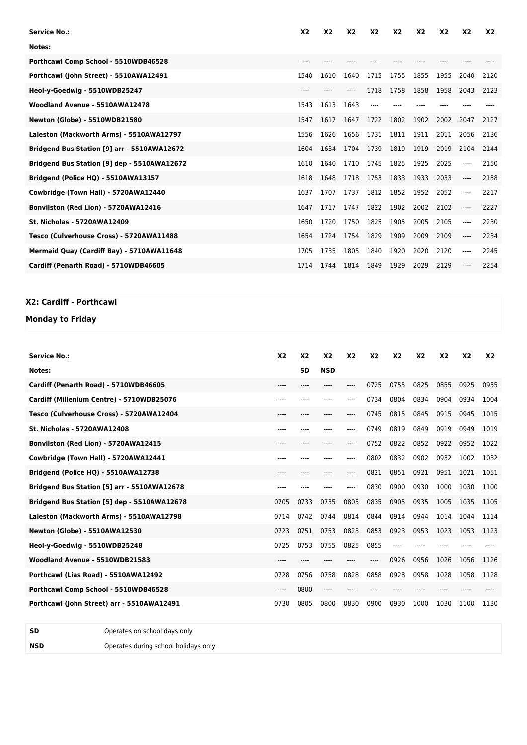| <b>Service No.:</b>                         | X <sub>2</sub> | X <sub>2</sub> | X <sub>2</sub> | X <sub>2</sub> | X <sub>2</sub> | X <sub>2</sub> | X <sub>2</sub> | X <sub>2</sub> | <b>X2</b> |
|---------------------------------------------|----------------|----------------|----------------|----------------|----------------|----------------|----------------|----------------|-----------|
| Notes:                                      |                |                |                |                |                |                |                |                |           |
| Porthcawl Comp School - 5510WDB46528        |                |                |                |                |                |                |                |                |           |
| Porthcawl (John Street) - 5510AWA12491      | 1540           | 1610           | 1640           | 1715           | 1755           | 1855           | 1955           | 2040           | 2120      |
| Heol-y-Goedwig - 5510WDB25247               | $---$          |                |                | 1718           | 1758           | 1858           | 1958           | 2043           | 2123      |
| Woodland Avenue - 5510AWA12478              | 1543           | 1613           | 1643           |                |                |                |                |                |           |
| Newton (Globe) - 5510WDB21580               | 1547           | 1617           | 1647           | 1722           | 1802           | 1902           | 2002           | 2047           | 2127      |
| Laleston (Mackworth Arms) - 5510AWA12797    | 1556           | 1626           | 1656           | 1731           | 1811           | 1911           | 2011           | 2056           | 2136      |
| Bridgend Bus Station [9] arr - 5510AWA12672 | 1604           | 1634           | 1704           | 1739           | 1819           | 1919           | 2019           | 2104           | 2144      |
| Bridgend Bus Station [9] dep - 5510AWA12672 | 1610           | 1640           | 1710           | 1745           | 1825           | 1925           | 2025           | ----           | 2150      |
| Bridgend (Police HQ) - 5510AWA13157         | 1618           | 1648           | 1718           | 1753           | 1833           | 1933           | 2033           | ----           | 2158      |
| Cowbridge (Town Hall) - 5720AWA12440        | 1637           | 1707           | 1737           | 1812           | 1852           | 1952           | 2052           | ----           | 2217      |
| Bonvilston (Red Lion) - 5720AWA12416        | 1647           | 1717           | 1747           | 1822           | 1902           | 2002           | 2102           | ----           | 2227      |
| <b>St. Nicholas - 5720AWA12409</b>          | 1650           | 1720           | 1750           | 1825           | 1905           | 2005           | 2105           | ----           | 2230      |
| Tesco (Culverhouse Cross) - 5720AWA11488    | 1654           | 1724           | 1754           | 1829           | 1909           | 2009           | 2109           | ----           | 2234      |
| Mermaid Quay (Cardiff Bay) - 5710AWA11648   | 1705           | 1735           | 1805           | 1840           | 1920           | 2020           | 2120           | ----           | 2245      |
| Cardiff (Penarth Road) - 5710WDB46605       | 1714           | 1744           | 1814           | 1849           | 1929           | 2029           | 2129           | ----           | 2254      |

### **X2: Cardiff - Porthcawl**

## **Monday to Friday**

| <b>Service No.:</b>                         | X <sub>2</sub> | X <sub>2</sub> | X <sub>2</sub> | X <sub>2</sub> | X <sub>2</sub> | X <sub>2</sub> | X <sub>2</sub> | X <sub>2</sub> | X <sub>2</sub> | <b>X2</b> |
|---------------------------------------------|----------------|----------------|----------------|----------------|----------------|----------------|----------------|----------------|----------------|-----------|
| Notes:                                      |                | <b>SD</b>      | <b>NSD</b>     |                |                |                |                |                |                |           |
| Cardiff (Penarth Road) - 5710WDB46605       | $---$          |                |                |                | 0725           | 0755           | 0825           | 0855           | 0925           | 0955      |
| Cardiff (Millenium Centre) - 5710WDB25076   | ----           |                |                | ----           | 0734           | 0804           | 0834           | 0904           | 0934           | 1004      |
| Tesco (Culverhouse Cross) - 5720AWA12404    | $----$         | ----           | ----           | ----           | 0745           | 0815           | 0845           | 0915           | 0945           | 1015      |
| <b>St. Nicholas - 5720AWA12408</b>          | ----           | ----           |                | ----           | 0749           | 0819           | 0849           | 0919           | 0949           | 1019      |
| Bonvilston (Red Lion) - 5720AWA12415        | $---$          |                |                | ----           | 0752           | 0822           | 0852           | 0922           | 0952           | 1022      |
| Cowbridge (Town Hall) - 5720AWA12441        | ----           |                |                | ----           | 0802           | 0832           | 0902           | 0932           | 1002           | 1032      |
| Bridgend (Police HQ) - 5510AWA12738         | $---$          | ----           |                | $---$          | 0821           | 0851           | 0921           | 0951           | 1021           | 1051      |
| Bridgend Bus Station [5] arr - 5510AWA12678 | $---$          |                |                | ----           | 0830           | 0900           | 0930           | 1000           | 1030           | 1100      |
| Bridgend Bus Station [5] dep - 5510AWA12678 | 0705           | 0733           | 0735           | 0805           | 0835           | 0905           | 0935           | 1005           | 1035           | 1105      |
| Laleston (Mackworth Arms) - 5510AWA12798    | 0714           | 0742           | 0744           | 0814           | 0844           | 0914           | 0944           | 1014           | 1044           | 1114      |
| <b>Newton (Globe) - 5510AWA12530</b>        | 0723           | 0751           | 0753           | 0823           | 0853           | 0923           | 0953           | 1023           | 1053           | 1123      |
| Heol-y-Goedwig - 5510WDB25248               | 0725           | 0753           | 0755           | 0825           | 0855           | ----           |                |                |                |           |
| Woodland Avenue - 5510WDB21583              | $---$          |                |                |                |                | 0926           | 0956           | 1026           | 1056           | 1126      |
| Porthcawl (Lias Road) - 5510AWA12492        | 0728           | 0756           | 0758           | 0828           | 0858           | 0928           | 0958           | 1028           | 1058           | 1128      |
| Porthcawl Comp School - 5510WDB46528        | $---$          | 0800           | $---$          |                |                |                |                |                |                |           |
| Porthcawl (John Street) arr - 5510AWA12491  | 0730           | 0805           | 0800           | 0830           | 0900           | 0930           | 1000           | 1030           | 1100           | 1130      |

**SD** Operates on school days only **NSD** Operates during school holidays only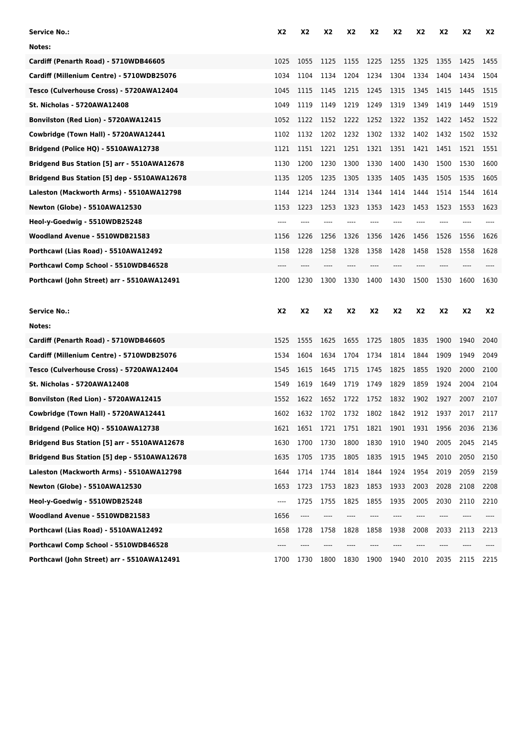| Service No.:                                | X2        | X2             | X <sub>2</sub> | X2    | <b>X2</b>      | X <sub>2</sub> | X2        | X2    | X2   | X2    |
|---------------------------------------------|-----------|----------------|----------------|-------|----------------|----------------|-----------|-------|------|-------|
| Notes:                                      |           |                |                |       |                |                |           |       |      |       |
| Cardiff (Penarth Road) - 5710WDB46605       | 1025      | 1055           | 1125           | 1155  | 1225           | 1255           | 1325      | 1355  | 1425 | 1455  |
| Cardiff (Millenium Centre) - 5710WDB25076   | 1034      | 1104           | 1134           | 1204  | 1234           | 1304           | 1334      | 1404  | 1434 | 1504  |
| Tesco (Culverhouse Cross) - 5720AWA12404    | 1045      | 1115           | 1145           | 1215  | 1245           | 1315           | 1345      | 1415  | 1445 | 1515  |
| <b>St. Nicholas - 5720AWA12408</b>          | 1049      | 1119           | 1149           | 1219  | 1249           | 1319           | 1349      | 1419  | 1449 | 1519  |
| Bonvilston (Red Lion) - 5720AWA12415        | 1052      | 1122           | 1152           | 1222  | 1252           | 1322           | 1352      | 1422  | 1452 | 1522  |
| Cowbridge (Town Hall) - 5720AWA12441        | 1102      | 1132           | 1202           | 1232  | 1302           | 1332           | 1402      | 1432  | 1502 | 1532  |
| Bridgend (Police HQ) - 5510AWA12738         | 1121      | 1151           | 1221           | 1251  | 1321           | 1351           | 1421      | 1451  | 1521 | 1551  |
| Bridgend Bus Station [5] arr - 5510AWA12678 | 1130      | 1200           | 1230           | 1300  | 1330           | 1400           | 1430      | 1500  | 1530 | 1600  |
| Bridgend Bus Station [5] dep - 5510AWA12678 | 1135      | 1205           | 1235           | 1305  | 1335           | 1405           | 1435      | 1505  | 1535 | 1605  |
| Laleston (Mackworth Arms) - 5510AWA12798    | 1144      | 1214           | 1244           | 1314  | 1344           | 1414           | 1444      | 1514  | 1544 | 1614  |
| <b>Newton (Globe) - 5510AWA12530</b>        | 1153      | 1223           | 1253           | 1323  | 1353           | 1423           | 1453      | 1523  | 1553 | 1623  |
| Heol-y-Goedwig - 5510WDB25248               | $---$     | ----           | ----           | $---$ | $---$          | ----           | ----      |       |      | $---$ |
| Woodland Avenue - 5510WDB21583              | 1156      | 1226           | 1256           | 1326  | 1356           | 1426           | 1456      | 1526  | 1556 | 1626  |
| Porthcawl (Lias Road) - 5510AWA12492        | 1158      | 1228           | 1258           | 1328  | 1358           | 1428           | 1458      | 1528  | 1558 | 1628  |
| Porthcawl Comp School - 5510WDB46528        | $---$     | ----           | ----           | $---$ | ----           | ----           | ----      | $---$ | ---- | $---$ |
| Porthcawl (John Street) arr - 5510AWA12491  | 1200      | 1230           | 1300           | 1330  | 1400           | 1430           | 1500      | 1530  | 1600 | 1630  |
|                                             |           |                |                |       |                |                |           |       |      |       |
| <b>Service No.:</b>                         | <b>X2</b> | X <sub>2</sub> | <b>X2</b>      | X2    | X2             | <b>X2</b>      | <b>X2</b> | X2    | X2   | X2    |
| Notes:                                      |           |                |                |       |                |                |           |       |      |       |
| Cardiff (Penarth Road) - 5710WDB46605       | 1525      | 1555           | 1625           | 1655  | 1725           | 1805           | 1835      | 1900  | 1940 | 2040  |
| Cardiff (Millenium Centre) - 5710WDB25076   | 1534      | 1604           | 1634           | 1704  | 1734           | 1814           | 1844      | 1909  | 1949 | 2049  |
| Tesco (Culverhouse Cross) - 5720AWA12404    | 1545      | 1615           | 1645           | 1715  | 1745           | 1825           | 1855      | 1920  | 2000 | 2100  |
| <b>St. Nicholas - 5720AWA12408</b>          | 1549      | 1619           | 1649           | 1719  | 1749           | 1829           | 1859      | 1924  | 2004 | 2104  |
| Bonvilston (Red Lion) - 5720AWA12415        | 1552      | 1622           | 1652           | 1722  | 1752           | 1832           | 1902      | 1927  | 2007 | 2107  |
| Cowbridge (Town Hall) - 5720AWA12441        | 1602      | 1632           | 1702           | 1732  | 1802           | 1842           | 1912      | 1937  | 2017 | 2117  |
| Bridgend (Police HQ) - 5510AWA12738         | 1621      | 1651           | 1721           |       | 1751 1821 1901 |                | 1931      | 1956  | 2036 | 2136  |
| Bridgend Bus Station [5] arr - 5510AWA12678 | 1630      | 1700           | 1730           | 1800  | 1830           | 1910           | 1940      | 2005  | 2045 | 2145  |
| Bridgend Bus Station [5] dep - 5510AWA12678 | 1635      | 1705           | 1735           | 1805  | 1835           | 1915           | 1945      | 2010  | 2050 | 2150  |
| Laleston (Mackworth Arms) - 5510AWA12798    | 1644      | 1714           | 1744           | 1814  | 1844           | 1924           | 1954      | 2019  | 2059 | 2159  |
| <b>Newton (Globe) - 5510AWA12530</b>        | 1653      | 1723           | 1753           | 1823  | 1853           | 1933           | 2003      | 2028  | 2108 | 2208  |
| Heol-y-Goedwig - 5510WDB25248               | ----      | 1725           | 1755           | 1825  | 1855           | 1935           | 2005      | 2030  | 2110 | 2210  |
| Woodland Avenue - 5510WDB21583              | 1656      | ----           | ----           | ----  | ----           | ----           | ----      | ----  | ---- | ----  |
| Porthcawl (Lias Road) - 5510AWA12492        | 1658      | 1728           | 1758           | 1828  | 1858           | 1938           | 2008      | 2033  | 2113 | 2213  |
| Porthcawl Comp School - 5510WDB46528        |           |                |                |       |                |                |           |       |      |       |